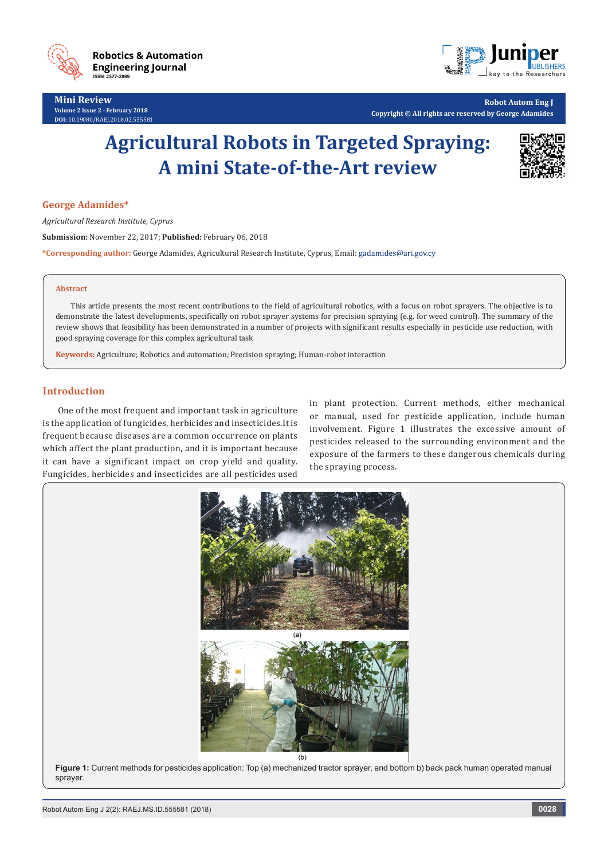

**Mini Review Volume 2 Issue 2 - February 2018 DOI:** [10.19080/RAEJ.2018.02.555581](http://dx.doi.org/10.19080/RAEJ.2018.02.555581
)



**Robot Autom Eng J Copyright © All rights are reserved by George Adamides**

# **Agricultural Robots in Targeted Spraying: A mini State-of-the-Art review**



## **George Adamides\***

*Agricultural Research Institute, Cyprus*

**Submission:** November 22, 2017; **Published:** February 06, 2018

**\*Corresponding author:** George Adamides, Agricultural Research Institute, Cyprus, Email:

#### **Abstract**

This article presents the most recent contributions to the field of agricultural robotics, with a focus on robot sprayers. The objective is to demonstrate the latest developments, specifically on robot sprayer systems for precision spraying (e.g. for weed control). The summary of the review shows that feasibility has been demonstrated in a number of projects with significant results especially in pesticide use reduction, with good spraying coverage for this complex agricultural task

**Keywords:** Agriculture; Robotics and automation; Precision spraying; Human-robot interaction

## **Introduction**

One of the most frequent and important task in agriculture is the application of fungicides, herbicides and insecticides.It is frequent because diseases are a common occurrence on plants which affect the plant production, and it is important because it can have a significant impact on crop yield and quality. Fungicides, herbicides and insecticides are all pesticides used

in plant protection. Current methods, either mechanical or manual, used for pesticide application, include human involvement. Figure 1 illustrates the excessive amount of pesticides released to the surrounding environment and the exposure of the farmers to these dangerous chemicals during the spraying process.



sprayer.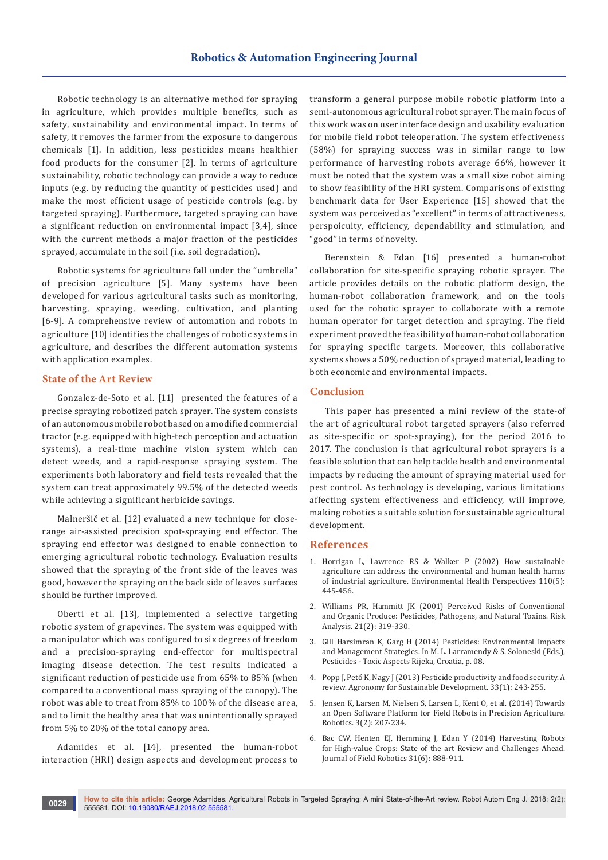Robotic technology is an alternative method for spraying in agriculture, which provides multiple benefits, such as safety, sustainability and environmental impact. In terms of safety, it removes the farmer from the exposure to dangerous chemicals [1]. In addition, less pesticides means healthier food products for the consumer [2]. In terms of agriculture sustainability, robotic technology can provide a way to reduce inputs (e.g. by reducing the quantity of pesticides used) and make the most efficient usage of pesticide controls (e.g. by targeted spraying). Furthermore, targeted spraying can have a significant reduction on environmental impact [3,4], since with the current methods a major fraction of the pesticides sprayed, accumulate in the soil (i.e. soil degradation).

Robotic systems for agriculture fall under the "umbrella" of precision agriculture [5]. Many systems have been developed for various agricultural tasks such as monitoring, harvesting, spraying, weeding, cultivation, and planting [6-9]. A comprehensive review of automation and robots in agriculture [10] identifies the challenges of robotic systems in agriculture, and describes the different automation systems with application examples.

# **State of the Art Review**

Gonzalez-de-Soto et al. [11] presented the features of a precise spraying robotized patch sprayer. The system consists of an autonomous mobile robot based on a modified commercial tractor (e.g. equipped with high-tech perception and actuation systems), a real-time machine vision system which can detect weeds, and a rapid-response spraying system. The experiments both laboratory and field tests revealed that the system can treat approximately 99.5% of the detected weeds while achieving a significant herbicide savings.

Malneršič et al. [12] evaluated a new technique for closerange air-assisted precision spot-spraying end effector. The spraying end effector was designed to enable connection to emerging agricultural robotic technology. Evaluation results showed that the spraying of the front side of the leaves was good, however the spraying on the back side of leaves surfaces should be further improved.

Oberti et al. [13], implemented a selective targeting robotic system of grapevines. The system was equipped with a manipulator which was configured to six degrees of freedom and a precision-spraying end-effector for multispectral imaging disease detection. The test results indicated a significant reduction of pesticide use from 65% to 85% (when compared to a conventional mass spraying of the canopy). The robot was able to treat from 85% to 100% of the disease area, and to limit the healthy area that was unintentionally sprayed from 5% to 20% of the total canopy area.

Adamides et al. [14], presented the human-robot interaction (HRI) design aspects and development process to

transform a general purpose mobile robotic platform into a semi-autonomous agricultural robot sprayer. The main focus of this work was on user interface design and usability evaluation for mobile field robot teleoperation. The system effectiveness (58%) for spraying success was in similar range to low performance of harvesting robots average 66%, however it must be noted that the system was a small size robot aiming to show feasibility of the HRI system. Comparisons of existing benchmark data for User Experience [15] showed that the system was perceived as "excellent" in terms of attractiveness, perspoicuity, efficiency, dependability and stimulation, and "good" in terms of novelty.

Berenstein & Edan [16] presented a human-robot collaboration for site-specific spraying robotic sprayer. The article provides details on the robotic platform design, the human-robot collaboration framework, and on the tools used for the robotic sprayer to collaborate with a remote human operator for target detection and spraying. The field experiment proved the feasibility of human-robot collaboration for spraying specific targets. Moreover, this collaborative systems shows a 50% reduction of sprayed material, leading to both economic and environmental impacts.

### **Conclusion**

This paper has presented a mini review of the state-of the art of agricultural robot targeted sprayers (also referred as site-specific or spot-spraying), for the period 2016 to 2017. The conclusion is that agricultural robot sprayers is a feasible solution that can help tackle health and environmental impacts by reducing the amount of spraying material used for pest control. As technology is developing, various limitations affecting system effectiveness and efficiency, will improve, making robotics a suitable solution for sustainable agricultural development.

#### **References**

- 1. [Horrigan L, Lawrence RS & Walker P \(2002\) How sustainable](https://www.ncbi.nlm.nih.gov/pubmed/12003747/)  [agriculture can address the environmental and human health harms](https://www.ncbi.nlm.nih.gov/pubmed/12003747/)  [of industrial agriculture. Environmental Health Perspectives 110\(5\):](https://www.ncbi.nlm.nih.gov/pubmed/12003747/)  [445-456.](https://www.ncbi.nlm.nih.gov/pubmed/12003747/)
- 2. [Williams PR, Hammitt JK \(2001\) Perceived Risks of Conventional](https://www.ncbi.nlm.nih.gov/pubmed/11414540)  [and Organic Produce: Pesticides, Pathogens, and Natural Toxins. Risk](https://www.ncbi.nlm.nih.gov/pubmed/11414540)  [Analysis. 21\(2\): 319-330.](https://www.ncbi.nlm.nih.gov/pubmed/11414540)
- 3. Gill Harsimran K, Garg H (2014) Pesticides: Environmental Impacts and Management Strategies. In M. L. Larramendy & S. Soloneski (Eds.), Pesticides - Toxic Aspects Rijeka, Croatia, p. 08.
- 4. [Popp J, Pető K, Nagy J \(2013\) Pesticide productivity and food security. A](https://link.springer.com/article/10.1007/s13593-012-0105-x)  [review. Agronomy for Sustainable Development. 33\(1\): 243-255.](https://link.springer.com/article/10.1007/s13593-012-0105-x)
- 5. [Jensen K, Larsen M, Nielsen S, Larsen L, Kent O, et al. \(2014\) Towards](http://www.mdpi.com/2218-6581/3/2/207)  [an Open Software Platform for Field Robots in Precision Agriculture.](http://www.mdpi.com/2218-6581/3/2/207)  [Robotics. 3\(2\): 207-234.](http://www.mdpi.com/2218-6581/3/2/207)
- 6. [Bac CW, Henten EJ, Hemming J, Edan Y \(2014\) Harvesting Robots](http://onlinelibrary.wiley.com/doi/10.1002/rob.21525/abstract)  [for High-value Crops: State of the art Review and Challenges Ahead.](http://onlinelibrary.wiley.com/doi/10.1002/rob.21525/abstract)  [Journal of Field Robotics 31\(6\): 888-911.](http://onlinelibrary.wiley.com/doi/10.1002/rob.21525/abstract)